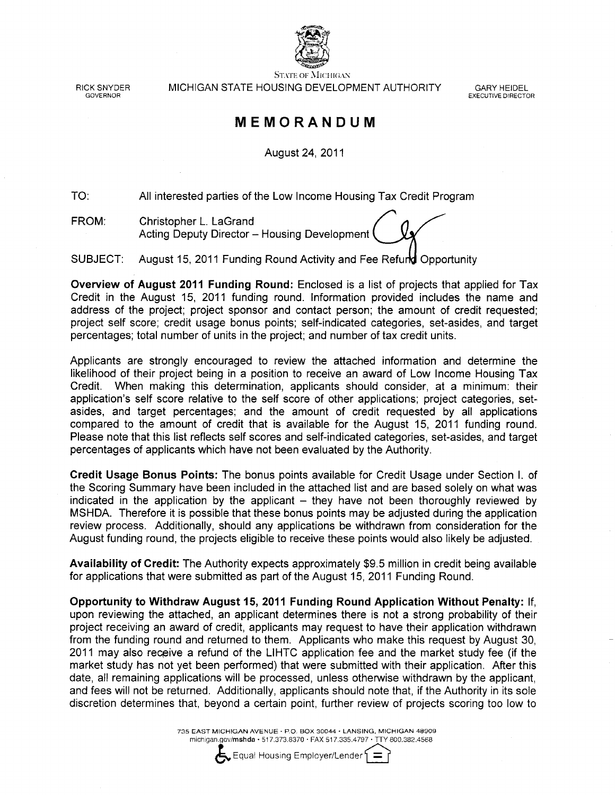

RICK SNYDER GOVERNOR

**STATE OF MICHIGAN** MICHIGAN STATE HOUSING DEVELOPMENT AUTHORITY

**GARY HEIDEL EXECUTIVE DIRECTOR** 

#### MEMORANDUM

August 24, 2011

TO: All interested parties of the Low Income Housing Tax Credit Program

FROM: Christopher L. LaGrand Acting Deputy Director - Housing Development

SUBJECT: August 15, 2011 Funding Round Activity and Fee Refund Opportunity

Overview of August 2011 Funding Round: Enclosed is a list of projects that applied for Tax Credit in the August 15, 2011 funding round. Information provided includes the name and address of the project; project sponsor and contact person; the amount of credit requested; project self score; credit usage bonus points; self-indicated categories, set-asides, and target percentages; total number of units in the project; and number of tax credit units.

Applicants are strongly encouraged to review the attached information and determine the likelihood of their project being in a position to receive an award of Low Income Housing Tax Credit. When making this determination, applicants should consider, at a minimum: their application's self score relative to the self score of other applications; project categories, setasides, and target percentages; and the amount of credit requested by all applications compared to the amount of credit that is available for the August 15, 2011 funding round. Please note that this list reflects self scores and self-indicated categories, set-asides, and target percentages of applicants which have not been evaluated by the Authority.

Credit Usage Bonus Points: The bonus points available for Credit Usage under Section I. of the Scoring Summary have been included in the attached list and are based solely on what was indicated in the application by the applicant  $-$  they have not been thoroughly reviewed by MSHDA. Therefore it is possible that these bonus points may be adjusted during the application review process. Additionally, should any applications be withdrawn from consideration for the August funding round, the projects eligible to receive these points would also likely be adjusted.

Availability of Credit: The Authority expects approximately \$9.5 million in credit being available for applications that were submitted as part of the August 15, 2011 Funding Round.

Opportunity to Withdraw August 15, 2011 Funding Round Application Without Penalty: If, upon reviewing the attached, an applicant determines there is not a strong probability of their project receiving an award of credit, applicants may request to have their application withdrawn from the funding round and returned to them. Applicants who make this request by August 30, 2011 may also receive a refund of the LIHTC application fee and the market study fee (if the market study has not yet been performed) that were submitted with their application. After this date, all remaining applications will be processed, unless otherwise withdrawn by the applicant, and fees will not be returned. Additionally, applicants should note that, if the Authority in its sole discretion determines that, beyond a certain point, further review of projects scoring too low to

> 735 EAST MICHIGAN AVENUE · P.O. BOX 30044 · LANSING, MICHIGAN 48909 michigan.gov/mshda · 517.373.8370 · FAX 517.335.4797 · TTY 800.382.4568



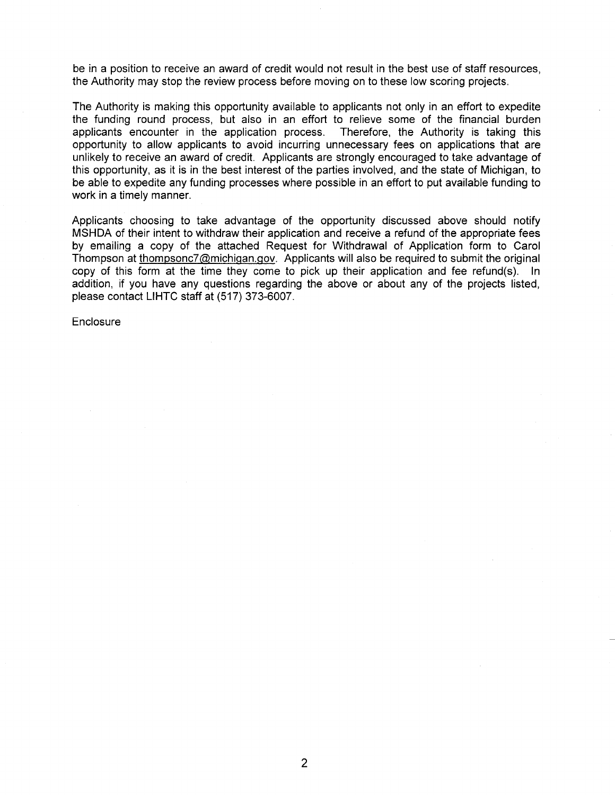be in a position to receive an award of credit would not result in the best use of staff resources. the Authority may stop the review process before moving on to these low scoring projects.

The Authority is making this opportunity available to applicants not only in an effort to expedite the funding round process, but also in an effort to relieve some of the financial burden applicants encounter in the application process. Therefore, the Authority is taking this opportunity to allow applicants to avoid incurring unnecessary fees on applications that are unlikely to receive an award of credit. Applicants are strongly encouraged to take advantage of this opportunity, as it is in the best interest of the parties involved, and the state of Michigan, to be able to expedite any funding processes where possible in an effort to put available funding to work in a timely manner.

Applicants choosing to take advantage of the opportunity discussed above should notify MSHDA of their intent to withdraw their application and receive a refund of the appropriate fees by emailing a copy of the attached Request for Withdrawal of Application form to Carol Thompson at thompsonc7@michigan.gov. Applicants will also be required to submit the original copy of this form at the time they come to pick up their application and fee refund(s). In addition, if you have any questions regarding the above or about any of the projects listed, please contact LIHTC staff at (517) 373-6007.

Enclosure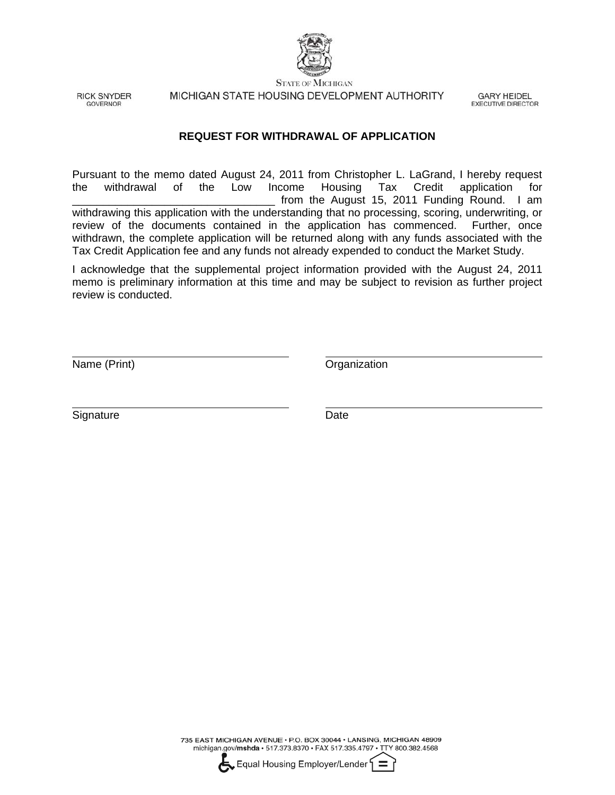

**RICK SNYDER GOVERNOR** 

MICHIGAN STATE HOUSING DEVELOPMENT AUTHORITY

**GARY HEIDEL EXECUTIVE DIRECTOR** 

#### **REQUEST FOR WITHDRAWAL OF APPLICATION**

Pursuant to the memo dated August 24, 2011 from Christopher L. LaGrand, I hereby request the withdrawal of the Low Income Housing Tax Credit application for from the August 15, 2011 Funding Round. I am withdrawing this application with the understanding that no processing, scoring, underwriting, or review of the documents contained in the application has commenced. Further, once withdrawn, the complete application will be returned along with any funds associated with the Tax Credit Application fee and any funds not already expended to conduct the Market Study.

I acknowledge that the supplemental project information provided with the August 24, 2011 memo is preliminary information at this time and may be subject to revision as further project review is conducted.

Name (Print) **Name** (Print)

L

 $\overline{a}$ 

Signature Date

735 EAST MICHIGAN AVENUE · P.O. BOX 30044 · LANSING, MICHIGAN 48909 michigan.gov/mshda · 517.373.8370 · FAX 517.335.4797 · TTY 800.382.4568

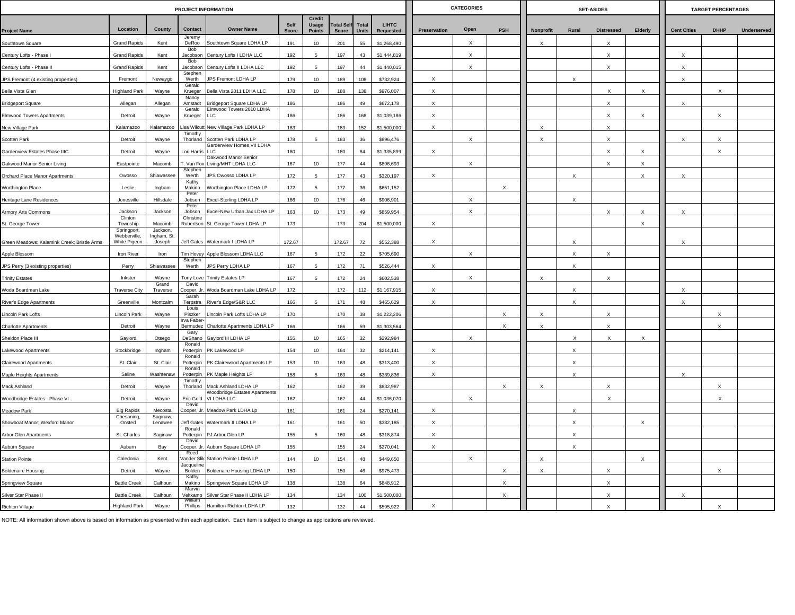|                                                    |                                   |                         |                        | PROJECT INFORMATION                                      |                      |                                  |                            |                       |                           |                           | <b>CATEGORIES</b> |                           |                           |                           | <b>SET-ASIDES</b>         |              |                    | <b>TARGET PERCENTAGES</b> |                    |
|----------------------------------------------------|-----------------------------------|-------------------------|------------------------|----------------------------------------------------------|----------------------|----------------------------------|----------------------------|-----------------------|---------------------------|---------------------------|-------------------|---------------------------|---------------------------|---------------------------|---------------------------|--------------|--------------------|---------------------------|--------------------|
| <b>Project Name</b>                                | Location                          | County                  | Contact                | <b>Owner Name</b>                                        | Self<br><b>Score</b> | Credit<br>Usage<br><b>Points</b> | <b>Total Self</b><br>Score | <b>Total</b><br>Units | <b>LIHTC</b><br>Requested | <b>Preservation</b>       | Open              | PSH                       | Nonprofit                 | Rural                     | <b>Distressed</b>         | Elderly      | <b>Cent Cities</b> | <b>DHHP</b>               | <b>Underserved</b> |
| Southtown Square                                   | <b>Grand Rapids</b>               | Kent                    | Jeremy<br>DeRoo        | Southtown Square LDHA LP                                 | 191                  | 10                               | 201                        | 55                    | \$1,268,490               |                           | $\mathsf{x}$      |                           | X                         |                           |                           |              |                    |                           |                    |
| Century Lofts - Phase I                            | <b>Grand Rapids</b>               | Kent                    | <b>Bob</b><br>Jacobson | Century Lofts I LDHA LLC                                 | 192                  | -5                               | 197                        | 43                    | \$1,444,819               |                           | $\times$          |                           |                           |                           | $\times$                  |              | X                  |                           |                    |
| Century Lofts - Phase II                           | <b>Grand Rapids</b>               | Kent                    | Bob<br>Jacobson        | Century Lofts II LDHA LLC                                | 192                  |                                  | 197                        | 44                    | \$1,440,015               |                           | $\times$          |                           |                           |                           | $\times$                  |              | X                  |                           |                    |
| JPS Fremont (4 existing properties)                | Fremont                           | Newaygo                 | Stephen<br>Werth       | JPS Fremont LDHA LP                                      | 179                  | 10                               | 189                        | 108                   | \$732,924                 | $\boldsymbol{\mathsf{x}}$ |                   |                           |                           | $\times$                  |                           |              | $\mathsf{x}$       |                           |                    |
| <b>Bella Vista Glen</b>                            | <b>Highland Park</b>              | Wayne                   | Gerald<br>Krueger      | Bella Vista 2011 LDHA LLC                                | 178                  | 10                               | 188                        | 138                   | \$976,007                 | X                         |                   |                           |                           |                           | $\times$                  | $\times$     |                    | X                         |                    |
| <b>Bridgeport Square</b>                           | Allegan                           | Allegan                 | Nancy<br>Amstadt       | Bridgeport Square LDHA LP                                | 186                  |                                  | 186                        | 49                    | \$672,178                 | $\boldsymbol{\mathsf{x}}$ |                   |                           |                           |                           | $\boldsymbol{\mathsf{x}}$ |              | X                  |                           |                    |
| Elmwood Towers Apartments                          | Detroit                           | Wayne                   | Gerald<br>Krueger      | Imwood Towers 2010 LDHA<br>LLC.                          | 186                  |                                  | 186                        | 168                   | \$1,039,186               | $\boldsymbol{\mathsf{x}}$ |                   |                           |                           |                           | $\mathsf{x}$              | $\mathsf{x}$ |                    | $\times$                  |                    |
| New Village Park                                   | Kalamazoo                         | Kalamazoo               | isa Wilcutt            | New Village Park LDHA LP                                 | 183                  |                                  | 183                        | 152                   | \$1,500,000               | $\mathsf X$               |                   |                           | $\times$                  |                           | $\boldsymbol{\mathsf{x}}$ |              |                    |                           |                    |
| Scotten Park                                       | Detroit                           | Wayne                   | Timothy<br>Thorland    | Scotten Park LDHA LP                                     | 178                  | -5                               | 183                        | 36                    | \$896,476                 |                           | $\times$          |                           | $\boldsymbol{\mathsf{x}}$ |                           | $\boldsymbol{\mathsf{x}}$ |              | X                  | $\boldsymbol{\mathsf{x}}$ |                    |
| Gardenview Estates Phase IIIC                      | Detroit                           | Wayne                   | Lori Harris            | Gardenview Homes VII LDHA<br>H C                         | 180                  |                                  | 180                        | 84                    | \$1,335,899               | $\times$                  |                   |                           |                           |                           | X                         | X            |                    | X                         |                    |
| Oakwood Manor Senior Living                        | Eastpointe                        | Macomb                  | . Van Fox              | Dakwood Manor Senior<br>Living/MHT LDHA LLC              | 167                  | 10                               | 177                        | 44                    | \$896,693                 |                           | X                 |                           |                           |                           | $\boldsymbol{\mathsf{x}}$ | $\mathsf{x}$ |                    |                           |                    |
| Orchard Place Manor Apartments                     | Owosso                            | Shiawassee              | Stephen<br>Werth       | JPS Owosso LDHA LP                                       | 172                  |                                  | 177                        | 43                    | \$320,197                 | X                         |                   |                           |                           | $\boldsymbol{\mathsf{x}}$ |                           | $\times$     | X                  |                           |                    |
| Worthington Place                                  | Leslie                            | Ingham                  | Kathy<br>Makino        | Worthington Place LDHA LP                                | 172                  |                                  | 177                        | 36                    | \$651,152                 |                           |                   | $\mathsf X$               |                           |                           |                           |              |                    |                           |                    |
| Heritage Lane Residences                           | Jonesville                        | Hillsdale               | Peter<br>Jobson        | Excel-Sterling LDHA LP                                   | 166                  | 10                               | 176                        | 46                    | \$906,901                 |                           |                   |                           |                           |                           |                           |              |                    |                           |                    |
| Armory Arts Commons                                | Jackson                           | Jackson                 | Peter<br>Jobson        | Excel-New Urban Jax LDHA LP                              | 163                  | 10                               | 173                        | 49                    | \$859,954                 |                           | $\times$          |                           |                           |                           | $\times$                  | $\times$     | X                  |                           |                    |
| St. George Tower                                   | Clinton<br>Township               | Macomb                  | Christine              | Robertson St. George Tower LDHA LP                       | 173                  |                                  | 173                        | 204                   | \$1,500,000               | X                         |                   |                           |                           |                           |                           | $\mathsf{x}$ |                    |                           |                    |
|                                                    | Springport,<br><b>Webberville</b> | Jackson,<br>Ingham, St. |                        |                                                          |                      |                                  |                            |                       |                           |                           |                   |                           |                           |                           |                           |              |                    |                           |                    |
| Green Meadows; Kalamink Creek; Bristle Arms        | White Pigeon<br>Iron River        | Joseph<br>Iron          | <b>Tim Hovey</b>       | Jeff Gates Watermark I LDHA LP<br>Apple Blossom LDHA LLC | 172.67<br>167        |                                  | 172.67<br>172              | 72<br>22              | \$552,388<br>\$705,690    | X                         | $\mathsf{x}$      |                           |                           | X                         | $\times$                  |              | X                  |                           |                    |
| Apple Blossom<br>JPS Perry (3 existing properties) | Perry                             | Shiawassee              | Stephen<br>Werth       | JPS Perry LDHA LP                                        | 167                  | -5                               | 172                        | 71                    | \$526,444                 | $\boldsymbol{\mathsf{x}}$ |                   |                           |                           | $\boldsymbol{\mathsf{x}}$ |                           |              |                    |                           |                    |
| <b>Trinity Estates</b>                             | Inkster                           | Wavne                   | Tony Love              | <b>Trinity Estates LP</b>                                | 167                  | -5                               | 172                        | 24                    | \$602,538                 |                           | $\times$          |                           | $\times$                  |                           | $\times$                  |              |                    |                           |                    |
| Woda Boardman Lake                                 | <b>Traverse City</b>              | Grand<br>Traverse       | David<br>Cooper, Jr    | Woda Boardman Lake LDHA LP                               | 172                  |                                  | 172                        | 112                   | \$1,167,915               | $\times$                  |                   |                           |                           | $\times$                  |                           |              | X                  |                           |                    |
| River's Edge Apartments                            | Greenville                        | Montcalm                | Sarah<br>Terpstra      | River's Edge/S&R LLC                                     | 166                  | -5                               | 171                        | 48                    | \$465,629                 | $\boldsymbol{\mathsf{x}}$ |                   |                           |                           | $\mathsf{x}$              |                           |              | $\mathsf{x}$       |                           |                    |
| Lincoln Park Lofts                                 | Lincoln Park                      | Wayne                   | Louis<br>Piszker       | Lincoln Park Lofts LDHA LP                               | 170                  |                                  | 170                        | 38                    | \$1,222,206               |                           |                   | $\boldsymbol{\mathsf{x}}$ | $\boldsymbol{\mathsf{x}}$ |                           | $\boldsymbol{\mathsf{x}}$ |              |                    | $\boldsymbol{\mathsf{x}}$ |                    |
| Charlotte Apartments                               | Detroit                           | Wayne                   | Irva Faber<br>Bermudez | Charlotte Apartments LDHA LP                             | 166                  |                                  | 166                        | 59                    | \$1,303,564               |                           |                   | $\mathsf X$               | $\times$                  |                           | $\times$                  |              |                    | X                         |                    |
| Sheldon Place III                                  | Gaylord                           | Otsego                  | Gary<br>DeShano        | Gaylord III LDHA LP                                      | 155                  | 10                               | 165                        | 32                    | \$292,984                 |                           | $\times$          |                           |                           | $\times$                  | X                         | X            |                    |                           |                    |
| Lakewood Apartments                                | Stockbridge                       | Ingham                  | Ronald<br>Potterpin    | PK Lakewood LP                                           | 154                  | 10                               | 164                        | 32                    | \$214,141                 | X                         |                   |                           |                           | $\boldsymbol{\mathsf{x}}$ |                           |              |                    |                           |                    |
| Clairewood Apartments                              | St. Clair                         | St. Clair               | Ronald<br>Potterpin    | PK Clairewood Apartments LP                              | 153                  | 10                               | 163                        | 48                    | \$313,400                 | $\times$                  |                   |                           |                           |                           |                           |              |                    |                           |                    |
| Maple Heights Apartments                           | Saline                            | Washtenaw               | Ronald<br>Potterpin    | PK Maple Heights LP                                      | 158                  |                                  | 163                        | 48                    | \$339,836                 | $\boldsymbol{\mathsf{X}}$ |                   |                           |                           | $\mathsf X$               |                           |              |                    |                           |                    |
| Mack Ashland                                       | Detroit                           | Wayne                   | Timothy<br>Thorland    | Mack Ashland LDHA LP                                     | 162                  |                                  | 162                        | 39                    | \$832,987                 |                           |                   | $\times$                  | $\mathsf{x}$              |                           | $\boldsymbol{\mathsf{x}}$ |              |                    | $\boldsymbol{\mathsf{x}}$ |                    |
| Woodbridge Estates - Phase VI                      | Detroit                           | Wayne                   | Eric Gold              | Voodbridge Estates Apartments<br>VI LDHA LLC             | 162                  |                                  | 162                        | 44                    | \$1,036,070               |                           | $\times$          |                           |                           |                           | X                         |              |                    | $\mathsf X$               |                    |
| Meadow Park                                        | <b>Big Rapids</b>                 | Mecosta                 | David<br>Cooper, Jr.   | Meadow Park LDHA Lp                                      | 161                  |                                  | 161                        | 24                    | \$270,141                 | $\boldsymbol{\mathsf{x}}$ |                   |                           |                           | $\times$                  |                           |              |                    |                           |                    |
| Showboat Manor; Wexford Manor                      | Chesaning,<br>Onsted              | Saginaw,<br>Lenawee     | Jeff Gates             | Watermark II LDHA LP                                     | 161                  |                                  | 161                        | 50                    | \$382,185                 | $\boldsymbol{\mathsf{X}}$ |                   |                           |                           | $\boldsymbol{\mathsf{x}}$ |                           | X            |                    |                           |                    |
| Arbor Glen Apartments                              | St. Charles                       | Saginaw                 | Ronald<br>Potterpin    | PJ Arbor Glen LP                                         | 155                  |                                  | 160                        | 48                    | \$318,874                 | $\boldsymbol{\mathsf{X}}$ |                   |                           |                           | $\mathsf X$               |                           |              |                    |                           |                    |
| Auburn Square                                      | Auburn                            | Bay                     | David<br>Cooper, Jr.   | Auburn Square LDHA LP                                    | 155                  |                                  | 155                        | 24                    | \$270,041                 | $\boldsymbol{\mathsf{x}}$ |                   |                           |                           | $\times$                  |                           |              |                    |                           |                    |
| <b>Station Pointe</b>                              | Caledonia                         | Kent                    | Reed<br>√ander Slil    | Station Pointe LDHA LP                                   | 144                  | 10                               | 154                        | 48                    | \$449,650                 |                           | $\times$          |                           | X                         |                           |                           | X            |                    |                           |                    |
| <b>Boldenaire Housing</b>                          | Detroit                           | Wayne                   | Jacqueline<br>Bolden   | Boldenaire Housing LDHA LP                               | 150                  |                                  | 150                        | 46                    | \$975,473                 |                           |                   | $\boldsymbol{\mathsf{x}}$ | $\boldsymbol{\mathsf{x}}$ |                           | X                         |              |                    | $\times$                  |                    |
| Springview Square                                  | <b>Battle Creek</b>               | Calhoun                 | Kathy<br>Makino        | Springview Square LDHA LP                                | 138                  |                                  | 138                        | 64                    | \$848,912                 |                           |                   | $\times$                  |                           |                           | $\boldsymbol{\mathsf{x}}$ |              |                    |                           |                    |
| Silver Star Phase II                               | <b>Battle Creek</b>               | Calhoun                 | Marvin                 | Veltkamp Silver Star Phase II LDHA LP                    | 134                  |                                  | 134                        | 100                   | \$1,500,000               |                           |                   | $\times$                  |                           |                           | $\mathbf{x}$              |              | $\mathsf{x}$       |                           |                    |
| Richton Village                                    | <b>Highland Park</b>              | Wayne                   | William<br>Phillips    | Hamilton-Richton LDHA LP                                 | 132                  |                                  | 132                        | 44                    | \$595,922                 | X                         |                   |                           |                           |                           | $\times$                  |              |                    | $\boldsymbol{\mathsf{x}}$ |                    |

NOTE: All information shown above is based on information as presented within each application. Each item is subject to change as applications are reviewed.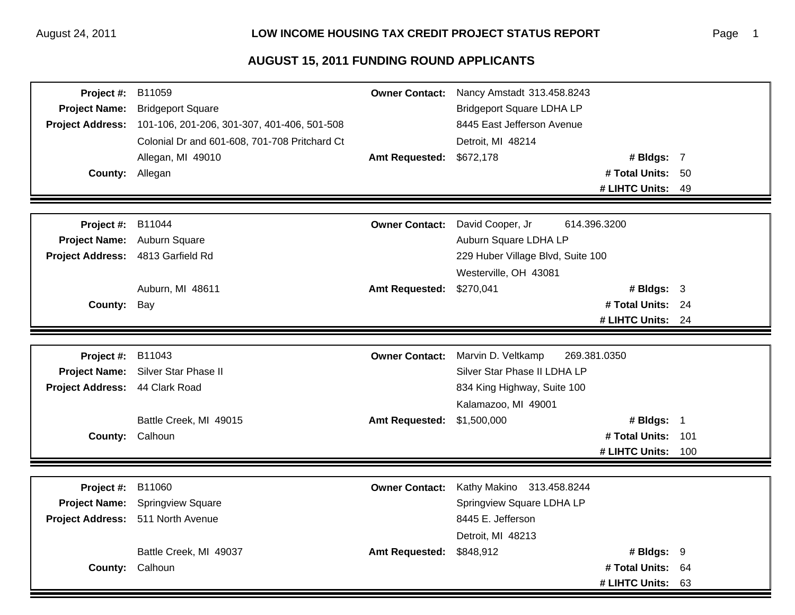| Project #:                     | B11059                                        | <b>Owner Contact:</b> | Nancy Amstadt 313.458.8243        |                    |      |
|--------------------------------|-----------------------------------------------|-----------------------|-----------------------------------|--------------------|------|
| <b>Project Name:</b>           | <b>Bridgeport Square</b>                      |                       | <b>Bridgeport Square LDHA LP</b>  |                    |      |
| <b>Project Address:</b>        | 101-106, 201-206, 301-307, 401-406, 501-508   |                       | 8445 East Jefferson Avenue        |                    |      |
|                                | Colonial Dr and 601-608, 701-708 Pritchard Ct |                       | Detroit, MI 48214                 |                    |      |
|                                | Allegan, MI 49010                             | <b>Amt Requested:</b> | \$672,178                         | # Bldgs: 7         |      |
| County: Allegan                |                                               |                       |                                   | # Total Units: 50  |      |
|                                |                                               |                       |                                   | # LIHTC Units: 49  |      |
|                                |                                               |                       |                                   |                    |      |
| Project #:                     | B11044                                        | <b>Owner Contact:</b> | David Cooper, Jr                  | 614.396.3200       |      |
| <b>Project Name:</b>           | Auburn Square                                 |                       | Auburn Square LDHA LP             |                    |      |
| <b>Project Address:</b>        | 4813 Garfield Rd                              |                       | 229 Huber Village Blvd, Suite 100 |                    |      |
|                                |                                               |                       | Westerville, OH 43081             |                    |      |
|                                | Auburn, MI 48611                              | <b>Amt Requested:</b> | \$270,041                         | # Bldgs: 3         |      |
| County: Bay                    |                                               |                       |                                   | # Total Units: 24  |      |
|                                |                                               |                       |                                   | # LIHTC Units: 24  |      |
|                                |                                               |                       |                                   |                    |      |
| Project #:                     | B11043                                        | <b>Owner Contact:</b> | Marvin D. Veltkamp                | 269.381.0350       |      |
| <b>Project Name:</b>           | Silver Star Phase II                          |                       | Silver Star Phase II LDHA LP      |                    |      |
| Project Address: 44 Clark Road |                                               |                       | 834 King Highway, Suite 100       |                    |      |
|                                |                                               |                       | Kalamazoo, MI 49001               |                    |      |
|                                | Battle Creek, MI 49015                        | <b>Amt Requested:</b> | \$1,500,000                       | # Bldgs: 1         |      |
|                                | County: Calhoun                               |                       |                                   | # Total Units: 101 |      |
|                                |                                               |                       |                                   | # LIHTC Units:     | 100  |
|                                |                                               |                       |                                   |                    |      |
| Project #:                     | B11060                                        | <b>Owner Contact:</b> | Kathy Makino 313.458.8244         |                    |      |
| <b>Project Name:</b>           | <b>Springview Square</b>                      |                       | Springview Square LDHA LP         |                    |      |
|                                | Project Address: 511 North Avenue             |                       | 8445 E. Jefferson                 |                    |      |
|                                |                                               |                       | Detroit, MI 48213                 |                    |      |
|                                | Battle Creek, MI 49037                        | <b>Amt Requested:</b> | \$848,912                         | # Bldgs: $9$       |      |
| <b>County:</b>                 | Calhoun                                       |                       |                                   | # Total Units:     | - 64 |
|                                |                                               |                       |                                   | # LIHTC Units:     | 63   |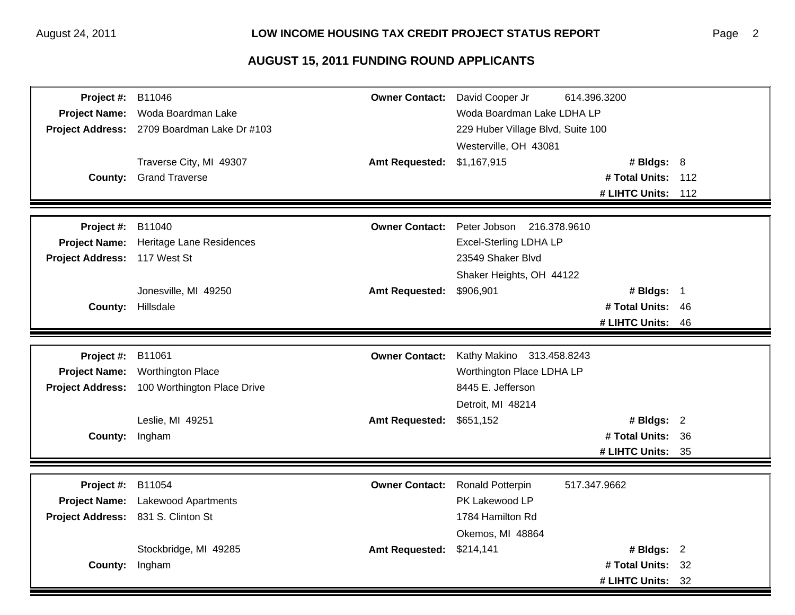| Project #:                   | B11046                                       | <b>Owner Contact:</b> | David Cooper Jr                   | 614.396.3200       |  |
|------------------------------|----------------------------------------------|-----------------------|-----------------------------------|--------------------|--|
| <b>Project Name:</b>         | Woda Boardman Lake                           |                       | Woda Boardman Lake LDHA LP        |                    |  |
|                              | Project Address: 2709 Boardman Lake Dr #103  |                       | 229 Huber Village Blvd, Suite 100 |                    |  |
|                              |                                              |                       | Westerville, OH 43081             |                    |  |
|                              | Traverse City, MI 49307                      | <b>Amt Requested:</b> | \$1,167,915                       | # Bldgs: $8$       |  |
|                              | <b>County:</b> Grand Traverse                |                       |                                   | # Total Units: 112 |  |
|                              |                                              |                       |                                   | # LIHTC Units: 112 |  |
|                              |                                              |                       |                                   |                    |  |
| Project #:                   | B11040                                       | <b>Owner Contact:</b> | Peter Jobson 216.378.9610         |                    |  |
| <b>Project Name:</b>         | Heritage Lane Residences                     |                       | <b>Excel-Sterling LDHA LP</b>     |                    |  |
| Project Address: 117 West St |                                              |                       | 23549 Shaker Blvd                 |                    |  |
|                              |                                              |                       | Shaker Heights, OH 44122          |                    |  |
|                              | Jonesville, MI 49250                         | <b>Amt Requested:</b> | \$906,901                         | # Bldgs: 1         |  |
|                              | County: Hillsdale                            |                       |                                   | # Total Units: 46  |  |
|                              |                                              |                       |                                   | # LIHTC Units: 46  |  |
|                              |                                              |                       |                                   |                    |  |
| Project #:                   | B11061                                       | <b>Owner Contact:</b> | Kathy Makino 313.458.8243         |                    |  |
| <b>Project Name:</b>         | <b>Worthington Place</b>                     |                       | Worthington Place LDHA LP         |                    |  |
|                              | Project Address: 100 Worthington Place Drive |                       | 8445 E. Jefferson                 |                    |  |
|                              |                                              |                       | Detroit, MI 48214                 |                    |  |
|                              | Leslie, MI 49251                             | <b>Amt Requested:</b> | \$651,152                         | # Bldgs: $2$       |  |
| County: Ingham               |                                              |                       |                                   | # Total Units: 36  |  |
|                              |                                              |                       |                                   | # LIHTC Units: 35  |  |
|                              |                                              |                       |                                   |                    |  |
| Project #:                   | B11054                                       | <b>Owner Contact:</b> | <b>Ronald Potterpin</b>           | 517.347.9662       |  |
|                              | Project Name: Lakewood Apartments            |                       | PK Lakewood LP                    |                    |  |
|                              | Project Address: 831 S. Clinton St           |                       | 1784 Hamilton Rd                  |                    |  |
|                              |                                              |                       | Okemos, MI 48864                  |                    |  |
|                              | Stockbridge, MI 49285                        | <b>Amt Requested:</b> | \$214,141                         | # Bldgs: 2         |  |
| County:                      | Ingham                                       |                       |                                   | # Total Units: 32  |  |
|                              |                                              |                       |                                   | # LIHTC Units: 32  |  |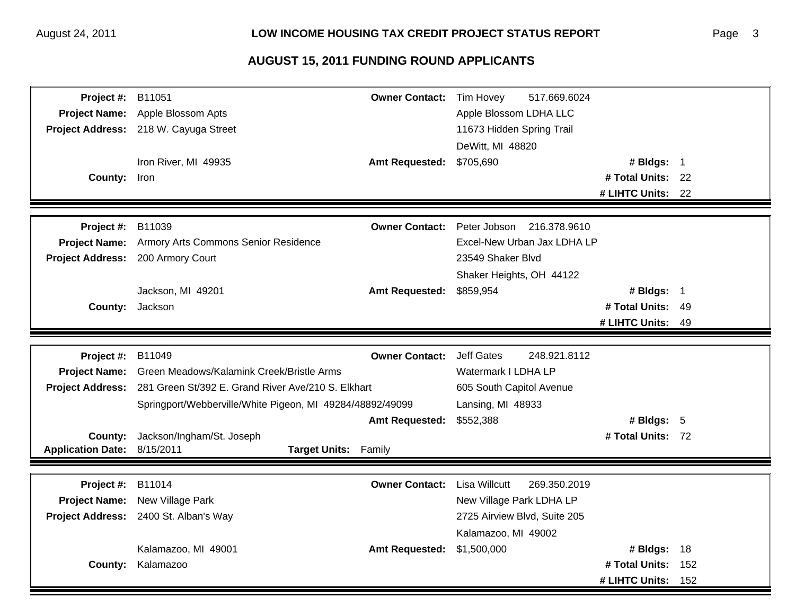| Project #:               | B11051<br><b>Owner Contact:</b>                                     | Tim Hovey<br>517.669.6024            |
|--------------------------|---------------------------------------------------------------------|--------------------------------------|
| <b>Project Name:</b>     | Apple Blossom Apts                                                  | Apple Blossom LDHA LLC               |
|                          | Project Address: 218 W. Cayuga Street                               | 11673 Hidden Spring Trail            |
|                          |                                                                     | DeWitt, MI 48820                     |
|                          | Iron River, MI 49935<br><b>Amt Requested:</b>                       | \$705,690<br># Bldgs: 1              |
| County: Iron             |                                                                     | # Total Units: 22                    |
|                          |                                                                     | # LIHTC Units: 22                    |
|                          |                                                                     |                                      |
| Project #:               | B11039<br><b>Owner Contact:</b>                                     | 216.378.9610<br>Peter Jobson         |
| <b>Project Name:</b>     | Armory Arts Commons Senior Residence                                | Excel-New Urban Jax LDHA LP          |
|                          | Project Address: 200 Armory Court                                   | 23549 Shaker Blvd                    |
|                          |                                                                     | Shaker Heights, OH 44122             |
|                          | Jackson, MI 49201<br><b>Amt Requested:</b>                          | \$859,954<br># Bldgs: 1              |
|                          | County: Jackson                                                     | # Total Units: 49                    |
|                          |                                                                     | # LIHTC Units: 49                    |
|                          |                                                                     |                                      |
| Project #:               | B11049<br><b>Owner Contact:</b>                                     | <b>Jeff Gates</b><br>248.921.8112    |
| <b>Project Name:</b>     | Green Meadows/Kalamink Creek/Bristle Arms                           | Watermark I LDHA LP                  |
|                          | Project Address: 281 Green St/392 E. Grand River Ave/210 S. Elkhart | 605 South Capitol Avenue             |
|                          | Springport/Webberville/White Pigeon, MI 49284/48892/49099           | Lansing, MI 48933                    |
|                          | <b>Amt Requested:</b>                                               | \$552,388<br># Bldgs: $5$            |
| County:                  | Jackson/Ingham/St. Joseph                                           | # Total Units: 72                    |
| <b>Application Date:</b> | 8/15/2011<br>Target Units: Family                                   |                                      |
|                          |                                                                     |                                      |
|                          |                                                                     |                                      |
| Project #:               | B11014<br><b>Owner Contact:</b>                                     | <b>Lisa Willcutt</b><br>269.350.2019 |
| <b>Project Name:</b>     | New Village Park                                                    | New Village Park LDHA LP             |
|                          | Project Address: 2400 St. Alban's Way                               | 2725 Airview Blvd, Suite 205         |
|                          |                                                                     | Kalamazoo, MI 49002                  |
|                          | Kalamazoo, MI 49001<br><b>Amt Requested:</b>                        | \$1,500,000<br># Bldgs: 18           |
| <b>County:</b>           | Kalamazoo                                                           | # Total Units:<br>152                |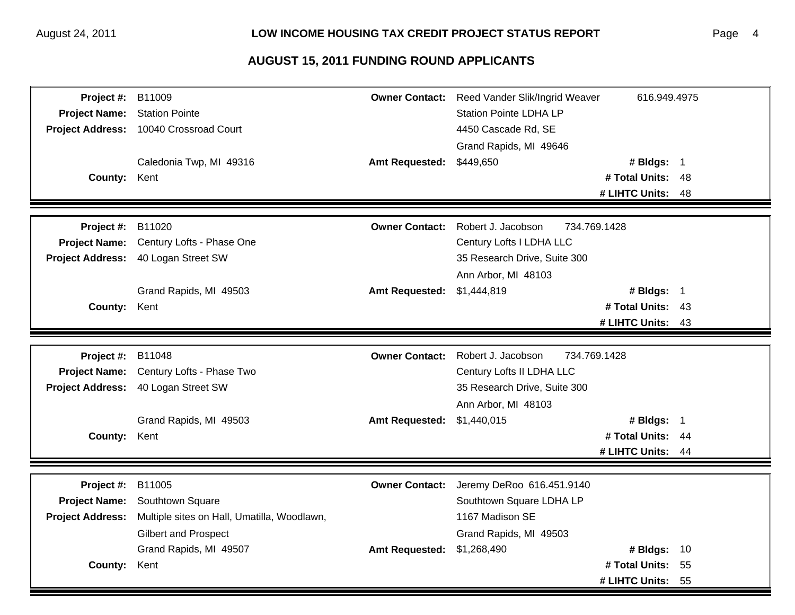| Project #:              | B11009                                      | <b>Owner Contact:</b> | Reed Vander Slik/Ingrid Weaver | 616.949.4975                        |      |
|-------------------------|---------------------------------------------|-----------------------|--------------------------------|-------------------------------------|------|
| <b>Project Name:</b>    | <b>Station Pointe</b>                       |                       | <b>Station Pointe LDHA LP</b>  |                                     |      |
|                         | Project Address: 10040 Crossroad Court      |                       | 4450 Cascade Rd, SE            |                                     |      |
|                         |                                             |                       | Grand Rapids, MI 49646         |                                     |      |
|                         | Caledonia Twp, MI 49316                     | <b>Amt Requested:</b> | \$449,650                      | # Bldgs: 1                          |      |
| County: Kent            |                                             |                       |                                | # Total Units: 48                   |      |
|                         |                                             |                       |                                | # LIHTC Units: 48                   |      |
|                         |                                             |                       |                                |                                     |      |
| Project #:              | B11020                                      | <b>Owner Contact:</b> | Robert J. Jacobson             | 734.769.1428                        |      |
| <b>Project Name:</b>    | Century Lofts - Phase One                   |                       | Century Lofts I LDHA LLC       |                                     |      |
|                         | Project Address: 40 Logan Street SW         |                       | 35 Research Drive, Suite 300   |                                     |      |
|                         |                                             |                       | Ann Arbor, MI 48103            |                                     |      |
|                         | Grand Rapids, MI 49503                      | <b>Amt Requested:</b> | \$1,444,819                    | # Bldgs: 1                          |      |
| <b>County:</b>          | Kent                                        |                       |                                | # Total Units:                      | - 43 |
|                         |                                             |                       |                                | # LIHTC Units: 43                   |      |
|                         |                                             |                       |                                |                                     |      |
| Project #:              | B11048                                      | <b>Owner Contact:</b> | Robert J. Jacobson             | 734.769.1428                        |      |
| <b>Project Name:</b>    | Century Lofts - Phase Two                   |                       | Century Lofts II LDHA LLC      |                                     |      |
| <b>Project Address:</b> | 40 Logan Street SW                          |                       | 35 Research Drive, Suite 300   |                                     |      |
|                         |                                             |                       | Ann Arbor, MI 48103            |                                     |      |
|                         | Grand Rapids, MI 49503                      | <b>Amt Requested:</b> | \$1,440,015                    | # Bldgs: 1                          |      |
| County:                 | Kent                                        |                       |                                | # Total Units: 44                   |      |
|                         |                                             |                       |                                | # LIHTC Units:                      | -44  |
|                         |                                             |                       |                                |                                     |      |
|                         |                                             |                       |                                |                                     |      |
|                         |                                             |                       |                                |                                     |      |
| Project #:              | B11005                                      | <b>Owner Contact:</b> | Jeremy DeRoo 616.451.9140      |                                     |      |
| <b>Project Name:</b>    | Southtown Square                            |                       | Southtown Square LDHA LP       |                                     |      |
| <b>Project Address:</b> | Multiple sites on Hall, Umatilla, Woodlawn, |                       | 1167 Madison SE                |                                     |      |
|                         | <b>Gilbert and Prospect</b>                 |                       | Grand Rapids, MI 49503         |                                     |      |
|                         | Grand Rapids, MI 49507                      | <b>Amt Requested:</b> | \$1,268,490                    | # Bldgs: 10                         |      |
| <b>County:</b>          | Kent                                        |                       |                                | # Total Units:<br># LIHTC Units: 55 | 55   |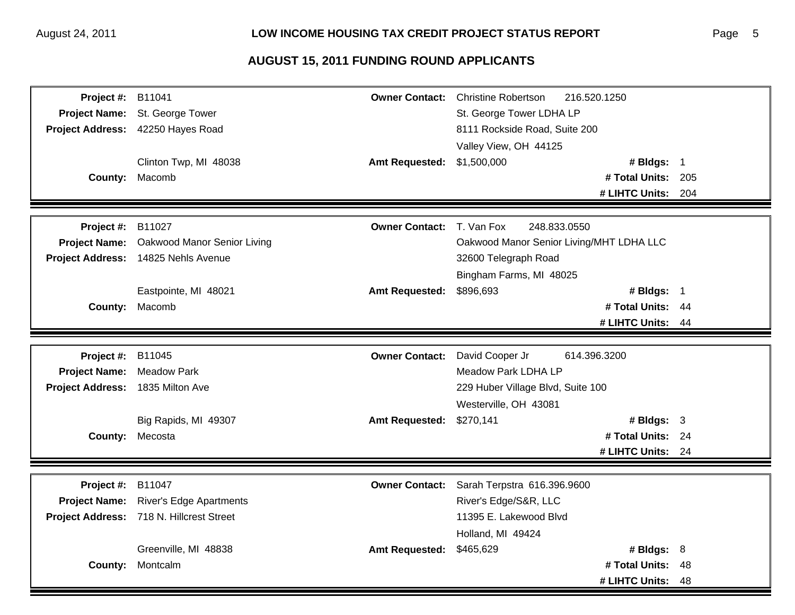| Project #:                       | B11041                                   | <b>Owner Contact:</b> | <b>Christine Robertson</b><br>216.520.1250 |     |
|----------------------------------|------------------------------------------|-----------------------|--------------------------------------------|-----|
| <b>Project Name:</b>             | St. George Tower                         |                       | St. George Tower LDHA LP                   |     |
|                                  | Project Address: 42250 Hayes Road        |                       | 8111 Rockside Road, Suite 200              |     |
|                                  |                                          |                       | Valley View, OH 44125                      |     |
|                                  | Clinton Twp, MI 48038                    | <b>Amt Requested:</b> | \$1,500,000<br># Bldgs: 1                  |     |
|                                  | County: Macomb                           |                       | # Total Units: 205                         |     |
|                                  |                                          |                       | # LIHTC Units: 204                         |     |
|                                  |                                          |                       |                                            |     |
| Project #:                       | B11027                                   | <b>Owner Contact:</b> | T. Van Fox<br>248.833.0550                 |     |
| <b>Project Name:</b>             | Oakwood Manor Senior Living              |                       | Oakwood Manor Senior Living/MHT LDHA LLC   |     |
|                                  | Project Address: 14825 Nehls Avenue      |                       | 32600 Telegraph Road                       |     |
|                                  |                                          |                       | Bingham Farms, MI 48025                    |     |
|                                  | Eastpointe, MI 48021                     | <b>Amt Requested:</b> | \$896,693<br># Bldgs: $1$                  |     |
|                                  | County: Macomb                           |                       | # Total Units: 44                          |     |
|                                  |                                          |                       | # LIHTC Units: 44                          |     |
|                                  |                                          |                       |                                            |     |
| Project #:                       | B11045                                   | <b>Owner Contact:</b> | David Cooper Jr<br>614.396.3200            |     |
| <b>Project Name:</b>             | <b>Meadow Park</b>                       |                       | Meadow Park LDHA LP                        |     |
| Project Address: 1835 Milton Ave |                                          |                       | 229 Huber Village Blvd, Suite 100          |     |
|                                  |                                          |                       | Westerville, OH 43081                      |     |
|                                  | Big Rapids, MI 49307                     | <b>Amt Requested:</b> | \$270,141<br># Bldgs: $3$                  |     |
|                                  | County: Mecosta                          |                       | # Total Units: 24                          |     |
|                                  |                                          |                       | # LIHTC Units: 24                          |     |
|                                  |                                          |                       |                                            |     |
| Project #:                       | B11047                                   | <b>Owner Contact:</b> | Sarah Terpstra 616.396.9600                |     |
| <b>Project Name:</b>             | <b>River's Edge Apartments</b>           |                       | River's Edge/S&R, LLC                      |     |
|                                  | Project Address: 718 N. Hillcrest Street |                       | 11395 E. Lakewood Blvd                     |     |
|                                  |                                          |                       | Holland, MI 49424                          |     |
|                                  | Greenville, MI 48838                     | <b>Amt Requested:</b> | \$465,629<br># Bldgs: $8$                  |     |
| County:                          | Montcalm                                 |                       | # Total Units:                             | -48 |
|                                  |                                          |                       | # LIHTC Units:                             | 48  |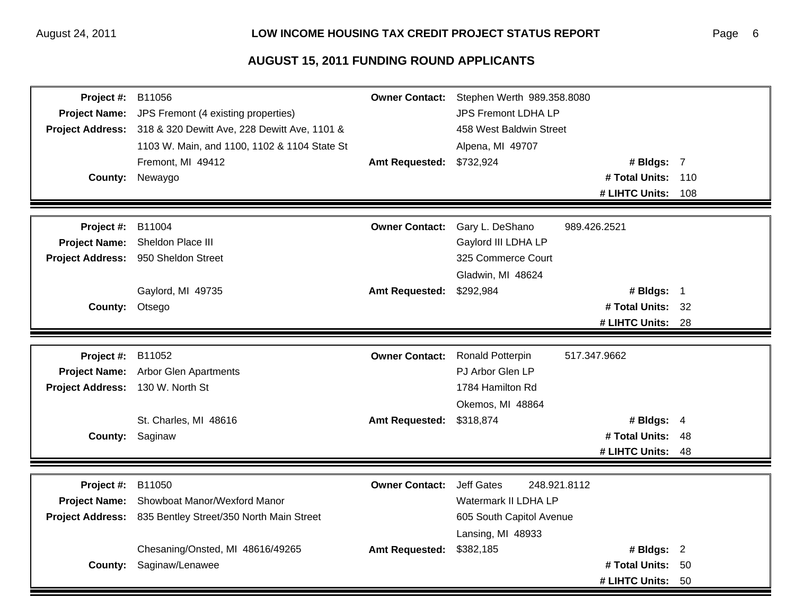| <b>Project Name:</b><br>JPS Fremont (4 existing properties)<br>JPS Fremont LDHA LP<br>Project Address: 318 & 320 Dewitt Ave, 228 Dewitt Ave, 1101 &<br>458 West Baldwin Street<br>1103 W. Main, and 1100, 1102 & 1104 State St<br>Alpena, MI 49707<br>Fremont, MI 49412<br>\$732,924<br><b>Amt Requested:</b><br># Bldgs: 7<br># Total Units: 110<br><b>County:</b><br>Newaygo<br># LIHTC Units:<br>108<br><b>Owner Contact:</b><br>Gary L. DeShano<br>Project #:<br>B11004<br>989.426.2521<br>Sheldon Place III<br>Gaylord III LDHA LP<br><b>Project Name:</b><br>Project Address: 950 Sheldon Street<br>325 Commerce Court<br>Gladwin, MI 48624<br>Gaylord, MI 49735<br>\$292,984<br><b>Amt Requested:</b><br># Bldgs: $1$<br># Total Units: 32<br>County: Otsego<br># LIHTC Units: 28<br>Project #:<br>B11052<br><b>Owner Contact:</b><br>Ronald Potterpin<br>517.347.9662<br>Project Name: Arbor Glen Apartments<br>PJ Arbor Glen LP<br>Project Address: 130 W. North St<br>1784 Hamilton Rd<br>Okemos, MI 48864 | Project #: | B11056                | <b>Owner Contact:</b> | Stephen Werth 989.358.8080 |              |  |
|----------------------------------------------------------------------------------------------------------------------------------------------------------------------------------------------------------------------------------------------------------------------------------------------------------------------------------------------------------------------------------------------------------------------------------------------------------------------------------------------------------------------------------------------------------------------------------------------------------------------------------------------------------------------------------------------------------------------------------------------------------------------------------------------------------------------------------------------------------------------------------------------------------------------------------------------------------------------------------------------------------------------|------------|-----------------------|-----------------------|----------------------------|--------------|--|
|                                                                                                                                                                                                                                                                                                                                                                                                                                                                                                                                                                                                                                                                                                                                                                                                                                                                                                                                                                                                                      |            |                       |                       |                            |              |  |
|                                                                                                                                                                                                                                                                                                                                                                                                                                                                                                                                                                                                                                                                                                                                                                                                                                                                                                                                                                                                                      |            |                       |                       |                            |              |  |
|                                                                                                                                                                                                                                                                                                                                                                                                                                                                                                                                                                                                                                                                                                                                                                                                                                                                                                                                                                                                                      |            |                       |                       |                            |              |  |
|                                                                                                                                                                                                                                                                                                                                                                                                                                                                                                                                                                                                                                                                                                                                                                                                                                                                                                                                                                                                                      |            |                       |                       |                            |              |  |
|                                                                                                                                                                                                                                                                                                                                                                                                                                                                                                                                                                                                                                                                                                                                                                                                                                                                                                                                                                                                                      |            |                       |                       |                            |              |  |
|                                                                                                                                                                                                                                                                                                                                                                                                                                                                                                                                                                                                                                                                                                                                                                                                                                                                                                                                                                                                                      |            |                       |                       |                            |              |  |
|                                                                                                                                                                                                                                                                                                                                                                                                                                                                                                                                                                                                                                                                                                                                                                                                                                                                                                                                                                                                                      |            |                       |                       |                            |              |  |
|                                                                                                                                                                                                                                                                                                                                                                                                                                                                                                                                                                                                                                                                                                                                                                                                                                                                                                                                                                                                                      |            |                       |                       |                            |              |  |
|                                                                                                                                                                                                                                                                                                                                                                                                                                                                                                                                                                                                                                                                                                                                                                                                                                                                                                                                                                                                                      |            |                       |                       |                            |              |  |
|                                                                                                                                                                                                                                                                                                                                                                                                                                                                                                                                                                                                                                                                                                                                                                                                                                                                                                                                                                                                                      |            |                       |                       |                            |              |  |
|                                                                                                                                                                                                                                                                                                                                                                                                                                                                                                                                                                                                                                                                                                                                                                                                                                                                                                                                                                                                                      |            |                       |                       |                            |              |  |
|                                                                                                                                                                                                                                                                                                                                                                                                                                                                                                                                                                                                                                                                                                                                                                                                                                                                                                                                                                                                                      |            |                       |                       |                            |              |  |
|                                                                                                                                                                                                                                                                                                                                                                                                                                                                                                                                                                                                                                                                                                                                                                                                                                                                                                                                                                                                                      |            |                       |                       |                            |              |  |
|                                                                                                                                                                                                                                                                                                                                                                                                                                                                                                                                                                                                                                                                                                                                                                                                                                                                                                                                                                                                                      |            |                       |                       |                            |              |  |
|                                                                                                                                                                                                                                                                                                                                                                                                                                                                                                                                                                                                                                                                                                                                                                                                                                                                                                                                                                                                                      |            |                       |                       |                            |              |  |
|                                                                                                                                                                                                                                                                                                                                                                                                                                                                                                                                                                                                                                                                                                                                                                                                                                                                                                                                                                                                                      |            |                       |                       |                            |              |  |
|                                                                                                                                                                                                                                                                                                                                                                                                                                                                                                                                                                                                                                                                                                                                                                                                                                                                                                                                                                                                                      |            |                       |                       |                            |              |  |
|                                                                                                                                                                                                                                                                                                                                                                                                                                                                                                                                                                                                                                                                                                                                                                                                                                                                                                                                                                                                                      |            |                       |                       |                            |              |  |
|                                                                                                                                                                                                                                                                                                                                                                                                                                                                                                                                                                                                                                                                                                                                                                                                                                                                                                                                                                                                                      |            |                       |                       |                            |              |  |
|                                                                                                                                                                                                                                                                                                                                                                                                                                                                                                                                                                                                                                                                                                                                                                                                                                                                                                                                                                                                                      |            | St. Charles, MI 48616 | <b>Amt Requested:</b> | \$318,874                  | # Bldgs: $4$ |  |
| County: Saginaw<br># Total Units: 48                                                                                                                                                                                                                                                                                                                                                                                                                                                                                                                                                                                                                                                                                                                                                                                                                                                                                                                                                                                 |            |                       |                       |                            |              |  |
| # LIHTC Units:<br>-48                                                                                                                                                                                                                                                                                                                                                                                                                                                                                                                                                                                                                                                                                                                                                                                                                                                                                                                                                                                                |            |                       |                       |                            |              |  |
|                                                                                                                                                                                                                                                                                                                                                                                                                                                                                                                                                                                                                                                                                                                                                                                                                                                                                                                                                                                                                      |            |                       |                       |                            |              |  |
| B11050<br><b>Owner Contact:</b><br><b>Jeff Gates</b><br>248.921.8112<br>Project #:                                                                                                                                                                                                                                                                                                                                                                                                                                                                                                                                                                                                                                                                                                                                                                                                                                                                                                                                   |            |                       |                       |                            |              |  |
| Showboat Manor/Wexford Manor<br>Watermark II LDHA LP<br><b>Project Name:</b>                                                                                                                                                                                                                                                                                                                                                                                                                                                                                                                                                                                                                                                                                                                                                                                                                                                                                                                                         |            |                       |                       |                            |              |  |
| Project Address: 835 Bentley Street/350 North Main Street<br>605 South Capitol Avenue                                                                                                                                                                                                                                                                                                                                                                                                                                                                                                                                                                                                                                                                                                                                                                                                                                                                                                                                |            |                       |                       |                            |              |  |
| Lansing, MI 48933                                                                                                                                                                                                                                                                                                                                                                                                                                                                                                                                                                                                                                                                                                                                                                                                                                                                                                                                                                                                    |            |                       |                       |                            |              |  |
| Chesaning/Onsted, MI 48616/49265<br>\$382,185<br># Bldgs: 2<br><b>Amt Requested:</b>                                                                                                                                                                                                                                                                                                                                                                                                                                                                                                                                                                                                                                                                                                                                                                                                                                                                                                                                 |            |                       |                       |                            |              |  |
| Saginaw/Lenawee<br># Total Units: 50<br>County:                                                                                                                                                                                                                                                                                                                                                                                                                                                                                                                                                                                                                                                                                                                                                                                                                                                                                                                                                                      |            |                       |                       |                            |              |  |
| # LIHTC Units:<br>- 50                                                                                                                                                                                                                                                                                                                                                                                                                                                                                                                                                                                                                                                                                                                                                                                                                                                                                                                                                                                               |            |                       |                       |                            |              |  |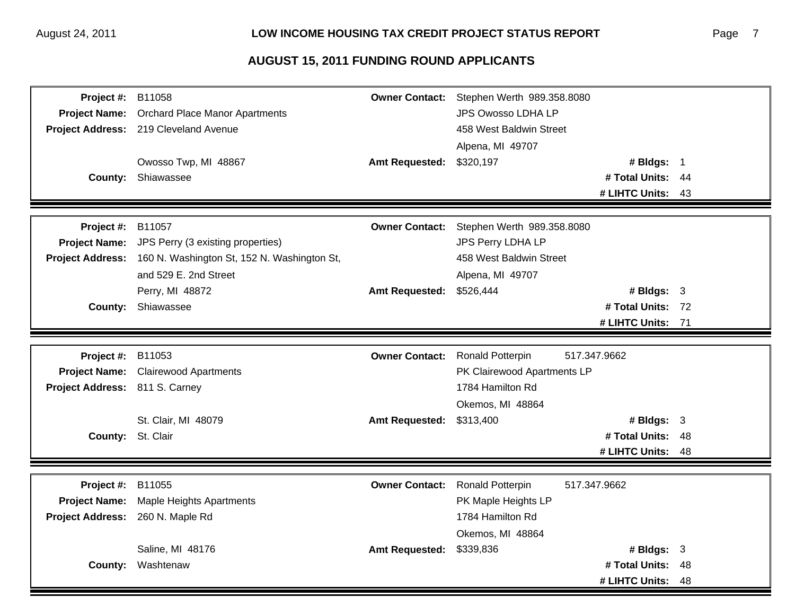| <b>Orchard Place Manor Apartments</b><br>JPS Owosso LDHA LP<br><b>Project Name:</b><br>Project Address: 219 Cleveland Avenue<br>458 West Baldwin Street<br>Alpena, MI 49707<br>Owosso Twp, MI 48867<br>\$320,197<br># Bldgs: 1<br><b>Amt Requested:</b><br># Total Units: 44<br>County:<br>Shiawassee<br># LIHTC Units: 43<br>Project #:<br>B11057<br><b>Owner Contact:</b><br>Stephen Werth 989.358.8080<br><b>Project Name:</b><br>JPS Perry (3 existing properties)<br>JPS Perry LDHA LP<br>160 N. Washington St, 152 N. Washington St,<br>458 West Baldwin Street<br><b>Project Address:</b><br>and 529 E. 2nd Street<br>Alpena, MI 49707<br>Perry, MI 48872<br><b>Amt Requested:</b><br>\$526,444<br># Bldgs: 3<br># Total Units: 72<br>Shiawassee<br>County: |  |
|--------------------------------------------------------------------------------------------------------------------------------------------------------------------------------------------------------------------------------------------------------------------------------------------------------------------------------------------------------------------------------------------------------------------------------------------------------------------------------------------------------------------------------------------------------------------------------------------------------------------------------------------------------------------------------------------------------------------------------------------------------------------|--|
|                                                                                                                                                                                                                                                                                                                                                                                                                                                                                                                                                                                                                                                                                                                                                                    |  |
|                                                                                                                                                                                                                                                                                                                                                                                                                                                                                                                                                                                                                                                                                                                                                                    |  |
|                                                                                                                                                                                                                                                                                                                                                                                                                                                                                                                                                                                                                                                                                                                                                                    |  |
|                                                                                                                                                                                                                                                                                                                                                                                                                                                                                                                                                                                                                                                                                                                                                                    |  |
|                                                                                                                                                                                                                                                                                                                                                                                                                                                                                                                                                                                                                                                                                                                                                                    |  |
|                                                                                                                                                                                                                                                                                                                                                                                                                                                                                                                                                                                                                                                                                                                                                                    |  |
|                                                                                                                                                                                                                                                                                                                                                                                                                                                                                                                                                                                                                                                                                                                                                                    |  |
|                                                                                                                                                                                                                                                                                                                                                                                                                                                                                                                                                                                                                                                                                                                                                                    |  |
|                                                                                                                                                                                                                                                                                                                                                                                                                                                                                                                                                                                                                                                                                                                                                                    |  |
|                                                                                                                                                                                                                                                                                                                                                                                                                                                                                                                                                                                                                                                                                                                                                                    |  |
|                                                                                                                                                                                                                                                                                                                                                                                                                                                                                                                                                                                                                                                                                                                                                                    |  |
|                                                                                                                                                                                                                                                                                                                                                                                                                                                                                                                                                                                                                                                                                                                                                                    |  |
|                                                                                                                                                                                                                                                                                                                                                                                                                                                                                                                                                                                                                                                                                                                                                                    |  |
| # LIHTC Units: 71                                                                                                                                                                                                                                                                                                                                                                                                                                                                                                                                                                                                                                                                                                                                                  |  |
|                                                                                                                                                                                                                                                                                                                                                                                                                                                                                                                                                                                                                                                                                                                                                                    |  |
| Project #:<br>B11053<br><b>Owner Contact:</b><br><b>Ronald Potterpin</b><br>517.347.9662                                                                                                                                                                                                                                                                                                                                                                                                                                                                                                                                                                                                                                                                           |  |
| <b>Clairewood Apartments</b><br><b>Project Name:</b><br>PK Clairewood Apartments LP                                                                                                                                                                                                                                                                                                                                                                                                                                                                                                                                                                                                                                                                                |  |
| Project Address: 811 S. Carney<br>1784 Hamilton Rd                                                                                                                                                                                                                                                                                                                                                                                                                                                                                                                                                                                                                                                                                                                 |  |
| Okemos, MI 48864                                                                                                                                                                                                                                                                                                                                                                                                                                                                                                                                                                                                                                                                                                                                                   |  |
| St. Clair, MI 48079<br>\$313,400<br><b>Amt Requested:</b><br># Bldgs: $3$                                                                                                                                                                                                                                                                                                                                                                                                                                                                                                                                                                                                                                                                                          |  |
| County: St. Clair<br># Total Units: 48                                                                                                                                                                                                                                                                                                                                                                                                                                                                                                                                                                                                                                                                                                                             |  |
| # LIHTC Units: 48                                                                                                                                                                                                                                                                                                                                                                                                                                                                                                                                                                                                                                                                                                                                                  |  |
|                                                                                                                                                                                                                                                                                                                                                                                                                                                                                                                                                                                                                                                                                                                                                                    |  |
| Project #:<br>B11055<br><b>Owner Contact:</b><br><b>Ronald Potterpin</b><br>517.347.9662                                                                                                                                                                                                                                                                                                                                                                                                                                                                                                                                                                                                                                                                           |  |
| PK Maple Heights LP<br><b>Project Name:</b><br><b>Maple Heights Apartments</b>                                                                                                                                                                                                                                                                                                                                                                                                                                                                                                                                                                                                                                                                                     |  |
| 1784 Hamilton Rd<br><b>Project Address:</b><br>260 N. Maple Rd                                                                                                                                                                                                                                                                                                                                                                                                                                                                                                                                                                                                                                                                                                     |  |
| Okemos, MI 48864                                                                                                                                                                                                                                                                                                                                                                                                                                                                                                                                                                                                                                                                                                                                                   |  |
| Saline, MI 48176<br>\$339,836<br><b>Amt Requested:</b><br># Bldgs: $3$                                                                                                                                                                                                                                                                                                                                                                                                                                                                                                                                                                                                                                                                                             |  |
| Washtenaw<br># Total Units:<br>County:<br>48                                                                                                                                                                                                                                                                                                                                                                                                                                                                                                                                                                                                                                                                                                                       |  |
| # LIHTC Units:<br>48                                                                                                                                                                                                                                                                                                                                                                                                                                                                                                                                                                                                                                                                                                                                               |  |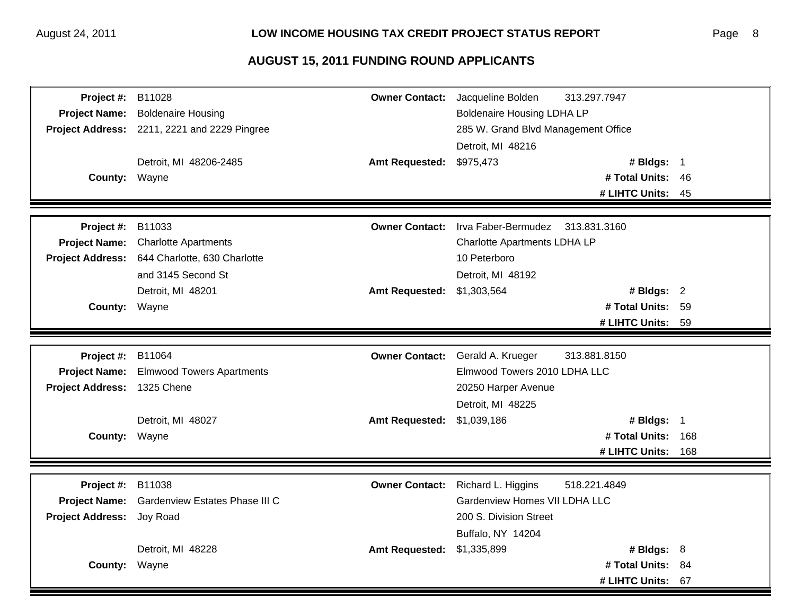| Project #:                  | B11028                                       | <b>Owner Contact:</b> | Jacqueline Bolden                   | 313.297.7947      |      |
|-----------------------------|----------------------------------------------|-----------------------|-------------------------------------|-------------------|------|
| <b>Project Name:</b>        | <b>Boldenaire Housing</b>                    |                       | <b>Boldenaire Housing LDHA LP</b>   |                   |      |
|                             | Project Address: 2211, 2221 and 2229 Pingree |                       | 285 W. Grand Blvd Management Office |                   |      |
|                             |                                              |                       | Detroit, MI 48216                   |                   |      |
|                             | Detroit, MI 48206-2485                       | <b>Amt Requested:</b> | \$975,473                           | # Bldgs: 1        |      |
| County: Wayne               |                                              |                       |                                     | # Total Units: 46 |      |
|                             |                                              |                       |                                     | # LIHTC Units:    | - 45 |
|                             |                                              |                       |                                     |                   |      |
| Project #:                  | B11033                                       | <b>Owner Contact:</b> | Irva Faber-Bermudez                 | 313.831.3160      |      |
| <b>Project Name:</b>        | <b>Charlotte Apartments</b>                  |                       | Charlotte Apartments LDHA LP        |                   |      |
| <b>Project Address:</b>     | 644 Charlotte, 630 Charlotte                 |                       | 10 Peterboro                        |                   |      |
|                             | and 3145 Second St                           |                       | Detroit, MI 48192                   |                   |      |
|                             | Detroit, MI 48201                            | <b>Amt Requested:</b> | \$1,303,564                         | # Bldgs: $2$      |      |
| County: Wayne               |                                              |                       |                                     | # Total Units: 59 |      |
|                             |                                              |                       |                                     | # LIHTC Units:    | 59   |
|                             |                                              |                       |                                     |                   |      |
| Project #:                  | B11064                                       | <b>Owner Contact:</b> | Gerald A. Krueger                   | 313.881.8150      |      |
| <b>Project Name:</b>        | <b>Elmwood Towers Apartments</b>             |                       | Elmwood Towers 2010 LDHA LLC        |                   |      |
| Project Address: 1325 Chene |                                              |                       | 20250 Harper Avenue                 |                   |      |
|                             |                                              |                       | Detroit, MI 48225                   |                   |      |
|                             | Detroit, MI 48027                            | <b>Amt Requested:</b> | \$1,039,186                         | # Bldgs: 1        |      |
| County: Wayne               |                                              |                       |                                     | # Total Units:    | 168  |
|                             |                                              |                       |                                     | # LIHTC Units:    | 168  |
|                             |                                              |                       |                                     |                   |      |
| Project #:                  | B11038                                       | <b>Owner Contact:</b> | Richard L. Higgins                  | 518.221.4849      |      |
| <b>Project Name:</b>        | Gardenview Estates Phase III C               |                       | Gardenview Homes VII LDHA LLC       |                   |      |
| <b>Project Address:</b>     | Joy Road                                     |                       | 200 S. Division Street              |                   |      |
|                             |                                              |                       | Buffalo, NY 14204                   |                   |      |
|                             | Detroit, MI 48228                            | <b>Amt Requested:</b> | \$1,335,899                         | # Bldgs: $8$      |      |
| <b>County:</b>              | Wayne                                        |                       |                                     | # Total Units: 84 |      |
|                             |                                              |                       |                                     | # LIHTC Units:    | 67   |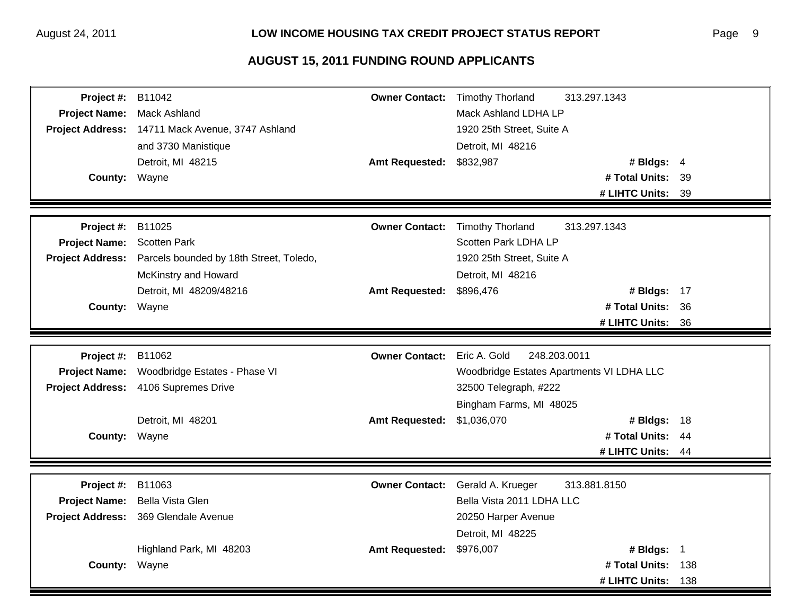| Project #:              | B11042                                           | <b>Owner Contact:</b> | <b>Timothy Thorland</b>                   | 313.297.1343      |      |
|-------------------------|--------------------------------------------------|-----------------------|-------------------------------------------|-------------------|------|
| <b>Project Name:</b>    | <b>Mack Ashland</b>                              |                       | Mack Ashland LDHA LP                      |                   |      |
|                         | Project Address: 14711 Mack Avenue, 3747 Ashland |                       | 1920 25th Street, Suite A                 |                   |      |
|                         | and 3730 Manistique                              |                       | Detroit, MI 48216                         |                   |      |
|                         | Detroit, MI 48215                                | <b>Amt Requested:</b> | \$832,987                                 | # Bldgs: $4$      |      |
| County: Wayne           |                                                  |                       |                                           | # Total Units: 39 |      |
|                         |                                                  |                       |                                           | # LIHTC Units:    | 39   |
|                         |                                                  |                       |                                           |                   |      |
| Project #:              | B11025                                           | <b>Owner Contact:</b> | <b>Timothy Thorland</b>                   | 313.297.1343      |      |
| <b>Project Name:</b>    | <b>Scotten Park</b>                              |                       | Scotten Park LDHA LP                      |                   |      |
| <b>Project Address:</b> | Parcels bounded by 18th Street, Toledo,          |                       | 1920 25th Street, Suite A                 |                   |      |
|                         | McKinstry and Howard                             |                       | Detroit, MI 48216                         |                   |      |
|                         | Detroit, MI 48209/48216                          | <b>Amt Requested:</b> | \$896,476                                 | # Bldgs: 17       |      |
| <b>County:</b>          | Wayne                                            |                       |                                           | # Total Units:    | -36  |
|                         |                                                  |                       |                                           | # LIHTC Units: 36 |      |
|                         |                                                  |                       |                                           |                   |      |
| Project #:              | B11062                                           | <b>Owner Contact:</b> | Eric A. Gold<br>248.203.0011              |                   |      |
| <b>Project Name:</b>    | Woodbridge Estates - Phase VI                    |                       | Woodbridge Estates Apartments VI LDHA LLC |                   |      |
|                         | Project Address: 4106 Supremes Drive             |                       | 32500 Telegraph, #222                     |                   |      |
|                         |                                                  |                       | Bingham Farms, MI 48025                   |                   |      |
|                         | Detroit, MI 48201                                | <b>Amt Requested:</b> | \$1,036,070                               | # Bldgs: 18       |      |
| County: Wayne           |                                                  |                       |                                           | # Total Units:    | - 44 |
|                         |                                                  |                       |                                           | # LIHTC Units: 44 |      |
|                         |                                                  |                       |                                           |                   |      |
| Project #:              | B11063                                           | <b>Owner Contact:</b> | Gerald A. Krueger                         | 313.881.8150      |      |
| <b>Project Name:</b>    | Bella Vista Glen                                 |                       | Bella Vista 2011 LDHA LLC                 |                   |      |
| <b>Project Address:</b> | 369 Glendale Avenue                              |                       | 20250 Harper Avenue                       |                   |      |
|                         |                                                  |                       | Detroit, MI 48225                         |                   |      |
|                         |                                                  | <b>Amt Requested:</b> |                                           | # Bldgs: $1$      |      |
|                         | Highland Park, MI 48203                          |                       | \$976,007                                 |                   |      |
| <b>County:</b>          | Wayne                                            |                       |                                           | # Total Units:    | 138  |